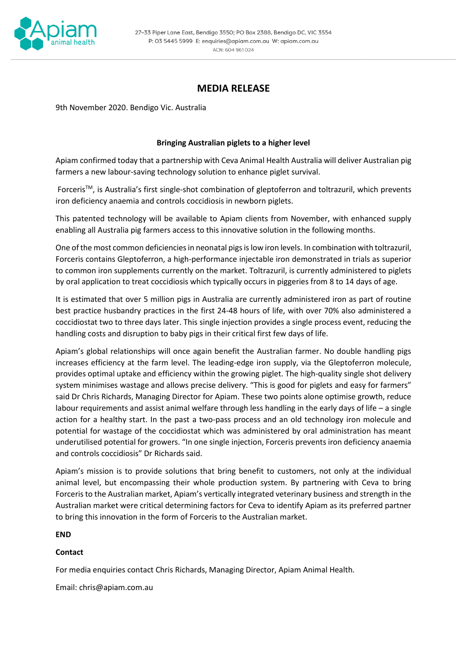

# **MEDIA RELEASE**

9th November 2020. Bendigo Vic. Australia

## **Bringing Australian piglets to a higher level**

Apiam confirmed today that a partnership with Ceva Animal Health Australia will deliver Australian pig farmers a new labour-saving technology solution to enhance piglet survival.

Forceris<sup>TM</sup>, is Australia's first single-shot combination of gleptoferron and toltrazuril, which prevents iron deficiency anaemia and controls coccidiosis in newborn piglets.

This patented technology will be available to Apiam clients from November, with enhanced supply enabling all Australia pig farmers access to this innovative solution in the following months.

One of the most common deficiencies in neonatal pigs is low iron levels. In combination with toltrazuril, Forceris contains Gleptoferron, a high-performance injectable iron demonstrated in trials as superior to common iron supplements currently on the market. Toltrazuril, is currently administered to piglets by oral application to treat coccidiosis which typically occurs in piggeries from 8 to 14 days of age.

It is estimated that over 5 million pigs in Australia are currently administered iron as part of routine best practice husbandry practices in the first 24-48 hours of life, with over 70% also administered a coccidiostat two to three days later. This single injection provides a single process event, reducing the handling costs and disruption to baby pigs in their critical first few days of life.

Apiam's global relationships will once again benefit the Australian farmer. No double handling pigs increases efficiency at the farm level. The leading-edge iron supply, via the Gleptoferron molecule, provides optimal uptake and efficiency within the growing piglet. The high-quality single shot delivery system minimises wastage and allows precise delivery. "This is good for piglets and easy for farmers" said Dr Chris Richards, Managing Director for Apiam. These two points alone optimise growth, reduce labour requirements and assist animal welfare through less handling in the early days of life – a single action for a healthy start. In the past a two-pass process and an old technology iron molecule and potential for wastage of the coccidiostat which was administered by oral administration has meant underutilised potential for growers. "In one single injection, Forceris prevents iron deficiency anaemia and controls coccidiosis" Dr Richards said.

Apiam's mission is to provide solutions that bring benefit to customers, not only at the individual animal level, but encompassing their whole production system. By partnering with Ceva to bring Forceris to the Australian market, Apiam's vertically integrated veterinary business and strength in the Australian market were critical determining factors for Ceva to identify Apiam as its preferred partner to bring this innovation in the form of Forceris to the Australian market.

**END**

#### **Contact**

For media enquiries contact Chris Richards, Managing Director, Apiam Animal Health.

Email: chris@apiam.com.au